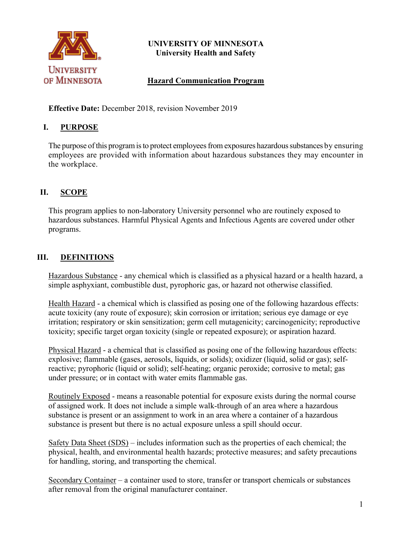

## **UNIVERSITY OF MINNESOTA University Health and Safety**

## **Hazard Communication Program**

**Effective Date:** December 2018, revision November 2019

## **I. PURPOSE**

The purpose of this program is to protect employees from exposures hazardous substances by ensuring employees are provided with information about hazardous substances they may encounter in the workplace.

# **II. SCOPE**

This program applies to non-laboratory University personnel who are routinely exposed to hazardous substances. Harmful Physical Agents and Infectious Agents are covered under other programs.

# **III. DEFINITIONS**

Hazardous Substance - any chemical which is classified as a physical hazard or a health hazard, a simple asphyxiant, combustible dust, pyrophoric gas, or hazard not otherwise classified.

Health Hazard - a chemical which is classified as posing one of the following hazardous effects: acute toxicity (any route of exposure); skin corrosion or irritation; serious eye damage or eye irritation; respiratory or skin sensitization; germ cell mutagenicity; carcinogenicity; reproductive toxicity; specific target organ toxicity (single or repeated exposure); or aspiration hazard.

Physical Hazard - a chemical that is classified as posing one of the following hazardous effects: explosive; flammable (gases, aerosols, liquids, or solids); oxidizer (liquid, solid or gas); selfreactive; pyrophoric (liquid or solid); self-heating; organic peroxide; corrosive to metal; gas under pressure; or in contact with water emits flammable gas.

Routinely Exposed - means a reasonable potential for exposure exists during the normal course of assigned work. It does not include a simple walk-through of an area where a hazardous substance is present or an assignment to work in an area where a container of a hazardous substance is present but there is no actual exposure unless a spill should occur.

Safety Data Sheet (SDS) – includes information such as the properties of each chemical; the physical, health, and environmental health hazards; protective measures; and safety precautions for handling, storing, and transporting the chemical.

Secondary Container – a container used to store, transfer or transport chemicals or substances after removal from the original manufacturer container.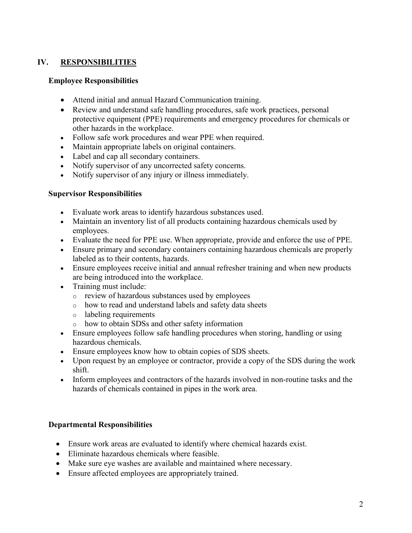## **IV. RESPONSIBILITIES**

#### **Employee Responsibilities**

- Attend initial and annual Hazard Communication training.
- Review and understand safe handling procedures, safe work practices, personal protective equipment (PPE) requirements and emergency procedures for chemicals or other hazards in the workplace.
- Follow safe work procedures and wear PPE when required.
- Maintain appropriate labels on original containers.
- Label and cap all secondary containers.
- Notify supervisor of any uncorrected safety concerns.
- Notify supervisor of any injury or illness immediately.

### **Supervisor Responsibilities**

- Evaluate work areas to identify hazardous substances used.
- Maintain an inventory list of all products containing hazardous chemicals used by employees.
- Evaluate the need for PPE use. When appropriate, provide and enforce the use of PPE.
- Ensure primary and secondary containers containing hazardous chemicals are properly labeled as to their contents, hazards.
- Ensure employees receive initial and annual refresher training and when new products are being introduced into the workplace.
- Training must include:
	- o review of hazardous substances used by employees
	- o how to read and understand labels and safety data sheets
	- o labeling requirements
	- o how to obtain SDSs and other safety information
- Ensure employees follow safe handling procedures when storing, handling or using hazardous chemicals.
- Ensure employees know how to obtain copies of SDS sheets.
- Upon request by an employee or contractor, provide a copy of the SDS during the work shift.
- Inform employees and contractors of the hazards involved in non-routine tasks and the hazards of chemicals contained in pipes in the work area.

## **Departmental Responsibilities**

- Ensure work areas are evaluated to identify where chemical hazards exist.
- Eliminate hazardous chemicals where feasible.
- Make sure eye washes are available and maintained where necessary.
- Ensure affected employees are appropriately trained.